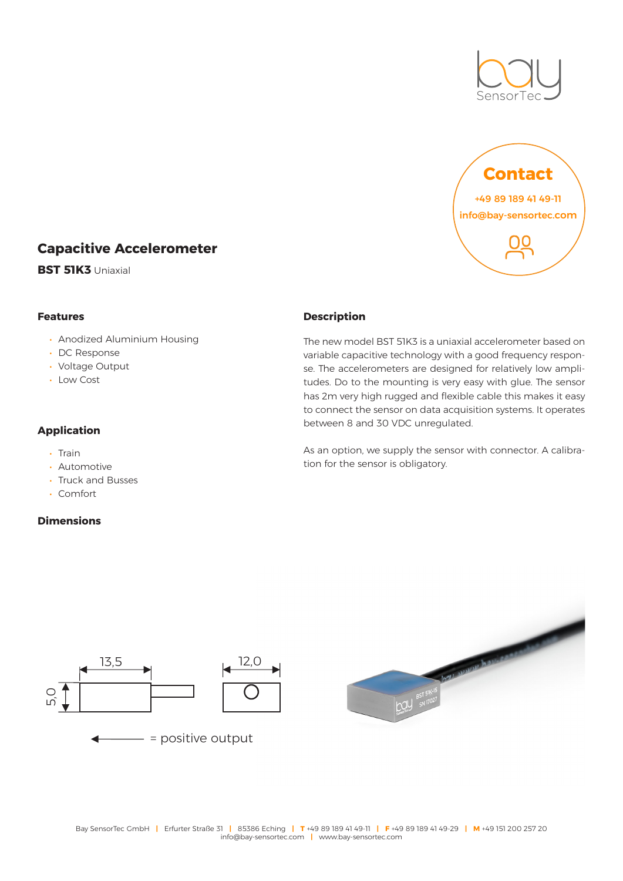



# **Capacitive Accelerometer**

**BST 51K3** Uniaxial

## **Features**

- Anodized Aluminium Housing
- DC Response
- Voltage Output
- Low Cost

#### **Application**

- Train
- Automotive
- Truck and Busses
- Comfort

## **Dimensions**

#### **Description**

The new model BST 51K3 is a uniaxial accelerometer based on variable capacitive technology with a good frequency response. The accelerometers are designed for relatively low amplitudes. Do to the mounting is very easy with glue. The sensor has 2m very high rugged and flexible cable this makes it easy to connect the sensor on data acquisition systems. It operates between 8 and 30 VDC unregulated.

As an option, we supply the sensor with connector. A calibration for the sensor is obligatory.